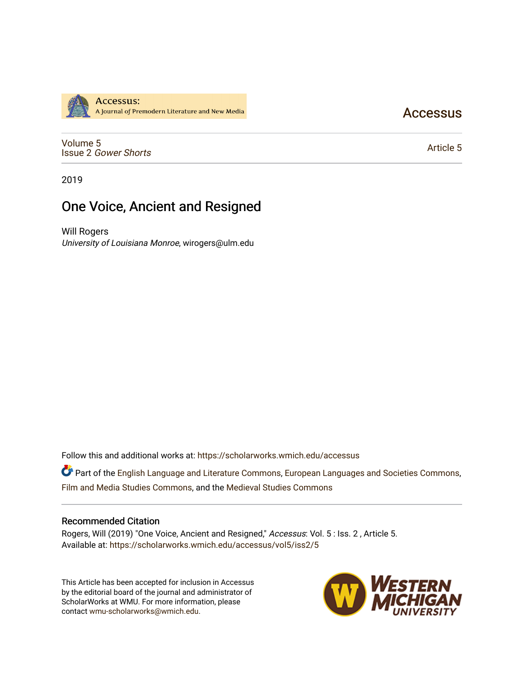

**Accessus** 

[Volume 5](https://scholarworks.wmich.edu/accessus/vol5) Issue 2 [Gower Shorts](https://scholarworks.wmich.edu/accessus/vol5/iss2)

[Article 5](https://scholarworks.wmich.edu/accessus/vol5/iss2/5) 

2019

# One Voice, Ancient and Resigned

Will Rogers University of Louisiana Monroe, wirogers@ulm.edu

Follow this and additional works at: [https://scholarworks.wmich.edu/accessus](https://scholarworks.wmich.edu/accessus?utm_source=scholarworks.wmich.edu%2Faccessus%2Fvol5%2Fiss2%2F5&utm_medium=PDF&utm_campaign=PDFCoverPages)

Part of the [English Language and Literature Commons](http://network.bepress.com/hgg/discipline/455?utm_source=scholarworks.wmich.edu%2Faccessus%2Fvol5%2Fiss2%2F5&utm_medium=PDF&utm_campaign=PDFCoverPages), [European Languages and Societies Commons](http://network.bepress.com/hgg/discipline/482?utm_source=scholarworks.wmich.edu%2Faccessus%2Fvol5%2Fiss2%2F5&utm_medium=PDF&utm_campaign=PDFCoverPages), [Film and Media Studies Commons,](http://network.bepress.com/hgg/discipline/563?utm_source=scholarworks.wmich.edu%2Faccessus%2Fvol5%2Fiss2%2F5&utm_medium=PDF&utm_campaign=PDFCoverPages) and the [Medieval Studies Commons](http://network.bepress.com/hgg/discipline/480?utm_source=scholarworks.wmich.edu%2Faccessus%2Fvol5%2Fiss2%2F5&utm_medium=PDF&utm_campaign=PDFCoverPages) 

#### Recommended Citation

Rogers, Will (2019) "One Voice, Ancient and Resigned," Accessus: Vol. 5 : Iss. 2 , Article 5. Available at: [https://scholarworks.wmich.edu/accessus/vol5/iss2/5](https://scholarworks.wmich.edu/accessus/vol5/iss2/5?utm_source=scholarworks.wmich.edu%2Faccessus%2Fvol5%2Fiss2%2F5&utm_medium=PDF&utm_campaign=PDFCoverPages) 

This Article has been accepted for inclusion in Accessus by the editorial board of the journal and administrator of ScholarWorks at WMU. For more information, please contact [wmu-scholarworks@wmich.edu](mailto:wmu-scholarworks@wmich.edu).

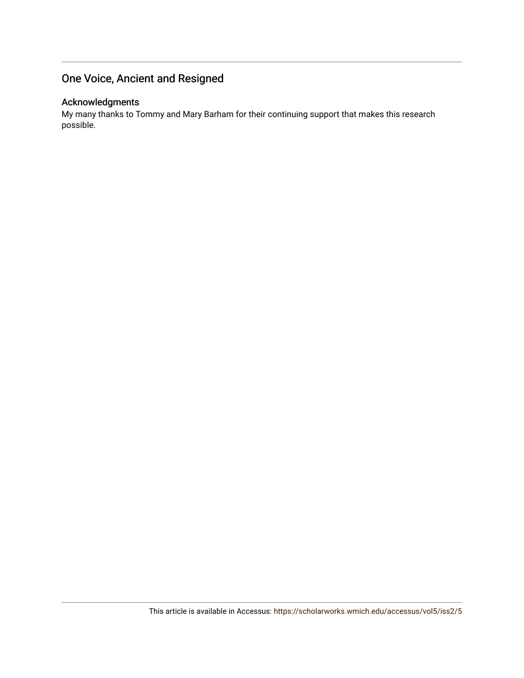# One Voice, Ancient and Resigned

### Acknowledgments

My many thanks to Tommy and Mary Barham for their continuing support that makes this research possible.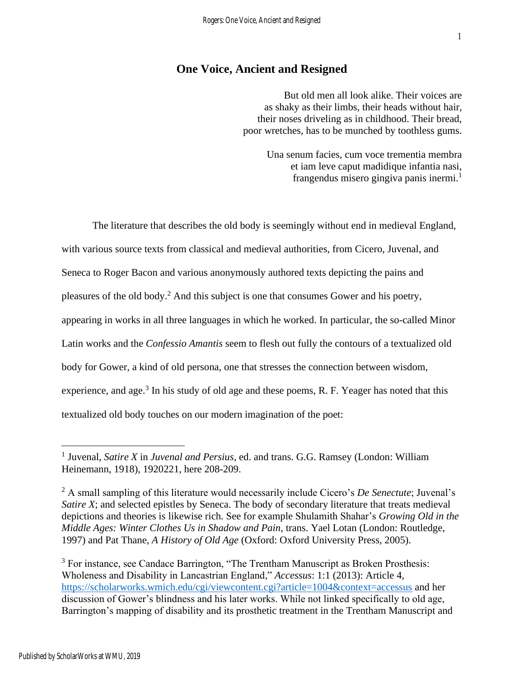## **One Voice, Ancient and Resigned**

But old men all look alike. Their voices are as shaky as their limbs, their heads without hair, their noses driveling as in childhood. Their bread, poor wretches, has to be munched by toothless gums.

> Una senum facies, cum voce trementia membra et iam leve caput madidique infantia nasi, frangendus misero gingiva panis inermi.<sup>1</sup>

The literature that describes the old body is seemingly without end in medieval England, with various source texts from classical and medieval authorities, from Cicero, Juvenal, and Seneca to Roger Bacon and various anonymously authored texts depicting the pains and pleasures of the old body.<sup>2</sup> And this subject is one that consumes Gower and his poetry, appearing in works in all three languages in which he worked. In particular, the so-called Minor Latin works and the *Confessio Amantis* seem to flesh out fully the contours of a textualized old body for Gower, a kind of old persona, one that stresses the connection between wisdom, experience, and age.<sup>3</sup> In his study of old age and these poems, R. F. Yeager has noted that this textualized old body touches on our modern imagination of the poet:

<sup>&</sup>lt;sup>1</sup> Juvenal, *Satire X* in *Juvenal and Persius*, ed. and trans. G.G. Ramsey (London: William Heinemann, 1918), 1920221, here 208-209.

<sup>2</sup> A small sampling of this literature would necessarily include Cicero's *De Senectute*; Juvenal's *Satire X*; and selected epistles by Seneca. The body of secondary literature that treats medieval depictions and theories is likewise rich. See for example Shulamith Shahar's *Growing Old in the Middle Ages: Winter Clothes Us in Shadow and Pain*, trans. Yael Lotan (London: Routledge, 1997) and Pat Thane, *A History of Old Age* (Oxford: Oxford University Press, 2005).

<sup>&</sup>lt;sup>3</sup> For instance, see Candace Barrington, "The Trentham Manuscript as Broken Prosthesis: Wholeness and Disability in Lancastrian England," *Accessus*: 1:1 (2013): Article 4, <https://scholarworks.wmich.edu/cgi/viewcontent.cgi?article=1004&context=accessus> and her discussion of Gower's blindness and his later works. While not linked specifically to old age, Barrington's mapping of disability and its prosthetic treatment in the Trentham Manuscript and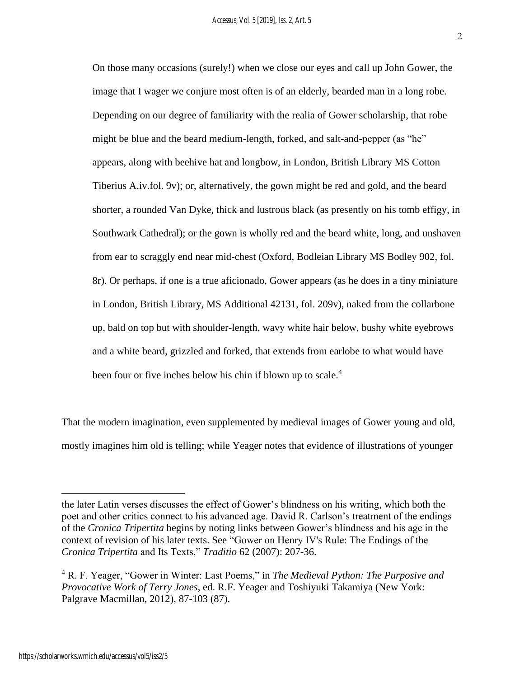On those many occasions (surely!) when we close our eyes and call up John Gower, the image that I wager we conjure most often is of an elderly, bearded man in a long robe. Depending on our degree of familiarity with the realia of Gower scholarship, that robe might be blue and the beard medium-length, forked, and salt-and-pepper (as "he" appears, along with beehive hat and longbow, in London, British Library MS Cotton Tiberius A.iv.fol. 9v); or, alternatively, the gown might be red and gold, and the beard shorter, a rounded Van Dyke, thick and lustrous black (as presently on his tomb effigy, in Southwark Cathedral); or the gown is wholly red and the beard white, long, and unshaven from ear to scraggly end near mid-chest (Oxford, Bodleian Library MS Bodley 902, fol. 8r). Or perhaps, if one is a true aficionado, Gower appears (as he does in a tiny miniature in London, British Library, MS Additional 42131, fol. 209v), naked from the collarbone up, bald on top but with shoulder-length, wavy white hair below, bushy white eyebrows and a white beard, grizzled and forked, that extends from earlobe to what would have been four or five inches below his chin if blown up to scale.<sup>4</sup>

That the modern imagination, even supplemented by medieval images of Gower young and old, mostly imagines him old is telling; while Yeager notes that evidence of illustrations of younger

the later Latin verses discusses the effect of Gower's blindness on his writing, which both the poet and other critics connect to his advanced age. David R. Carlson's treatment of the endings of the *Cronica Tripertita* begins by noting links between Gower's blindness and his age in the context of revision of his later texts. See "Gower on Henry IV's Rule: The Endings of the *Cronica Tripertita* and Its Texts," *Traditio* 62 (2007): 207-36.

<sup>4</sup> R. F. Yeager, "Gower in Winter: Last Poems," in *The Medieval Python: The Purposive and Provocative Work of Terry Jones*, ed. R.F. Yeager and Toshiyuki Takamiya (New York: Palgrave Macmillan, 2012), 87-103 (87).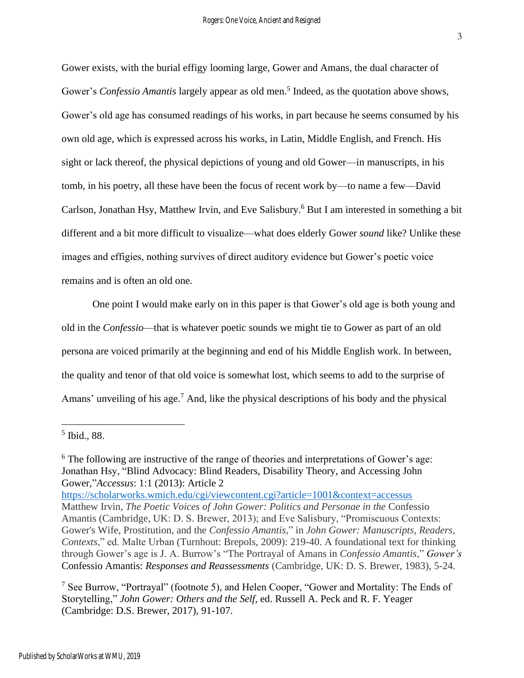Gower exists, with the burial effigy looming large, Gower and Amans, the dual character of Gower's *Confessio Amantis* largely appear as old men.<sup>5</sup> Indeed, as the quotation above shows, Gower's old age has consumed readings of his works, in part because he seems consumed by his own old age, which is expressed across his works, in Latin, Middle English, and French. His sight or lack thereof, the physical depictions of young and old Gower—in manuscripts, in his tomb, in his poetry, all these have been the focus of recent work by—to name a few—David Carlson, Jonathan Hsy, Matthew Irvin, and Eve Salisbury. <sup>6</sup> But I am interested in something a bit different and a bit more difficult to visualize—what does elderly Gower *sound* like? Unlike these images and effigies, nothing survives of direct auditory evidence but Gower's poetic voice remains and is often an old one.

One point I would make early on in this paper is that Gower's old age is both young and old in the *Confessio*—that is whatever poetic sounds we might tie to Gower as part of an old persona are voiced primarily at the beginning and end of his Middle English work. In between, the quality and tenor of that old voice is somewhat lost, which seems to add to the surprise of Amans' unveiling of his age.<sup>7</sup> And, like the physical descriptions of his body and the physical

5 Ibid., 88.

<sup>&</sup>lt;sup>6</sup> The following are instructive of the range of theories and interpretations of Gower's age: Jonathan Hsy, "Blind Advocacy: Blind Readers, Disability Theory, and Accessing John Gower,"*Accessus*: 1:1 (2013): Article 2

<https://scholarworks.wmich.edu/cgi/viewcontent.cgi?article=1001&context=accessus> Matthew Irvin, *The Poetic Voices of John Gower: Politics and Personae in the* Confessio Amantis (Cambridge, UK: D. S. Brewer, 2013); and Eve Salisbury, "Promiscuous Contexts: Gower's Wife, Prostitution, and the *Confessio Amantis*," in *John Gower: Manuscripts, Readers, Contexts*," ed. Malte Urban (Turnhout: Brepols, 2009): 219-40. A foundational text for thinking through Gower's age is J. A. Burrow's "The Portrayal of Amans in *Confessio Amantis*," *Gower's*  Confessio Amantis: *Responses and Reassessments* (Cambridge, UK: D. S. Brewer, 1983), 5-24.

<sup>&</sup>lt;sup>7</sup> See Burrow, "Portrayal" (footnote 5), and Helen Cooper, "Gower and Mortality: The Ends of Storytelling," *John Gower: Others and the Self*, ed. Russell A. Peck and R. F. Yeager (Cambridge: D.S. Brewer, 2017), 91-107.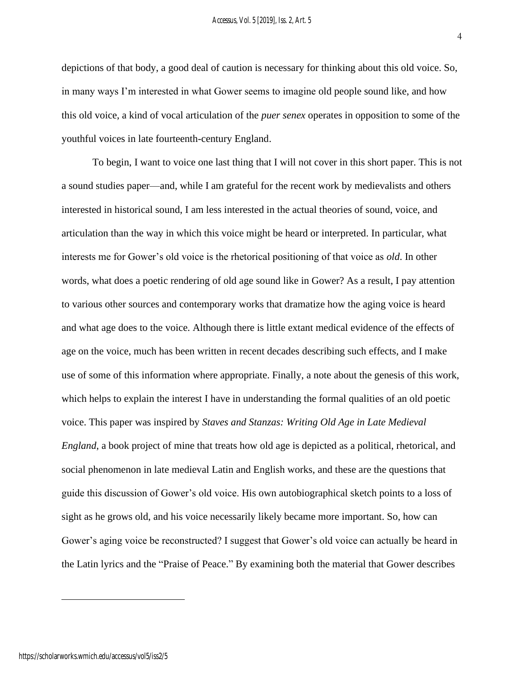depictions of that body, a good deal of caution is necessary for thinking about this old voice. So, in many ways I'm interested in what Gower seems to imagine old people sound like, and how this old voice, a kind of vocal articulation of the *puer senex* operates in opposition to some of the youthful voices in late fourteenth-century England.

To begin, I want to voice one last thing that I will not cover in this short paper. This is not a sound studies paper—and, while I am grateful for the recent work by medievalists and others interested in historical sound, I am less interested in the actual theories of sound, voice, and articulation than the way in which this voice might be heard or interpreted. In particular, what interests me for Gower's old voice is the rhetorical positioning of that voice as *old*. In other words, what does a poetic rendering of old age sound like in Gower? As a result, I pay attention to various other sources and contemporary works that dramatize how the aging voice is heard and what age does to the voice. Although there is little extant medical evidence of the effects of age on the voice, much has been written in recent decades describing such effects, and I make use of some of this information where appropriate. Finally, a note about the genesis of this work, which helps to explain the interest I have in understanding the formal qualities of an old poetic voice. This paper was inspired by *Staves and Stanzas: Writing Old Age in Late Medieval England*, a book project of mine that treats how old age is depicted as a political, rhetorical, and social phenomenon in late medieval Latin and English works, and these are the questions that guide this discussion of Gower's old voice. His own autobiographical sketch points to a loss of sight as he grows old, and his voice necessarily likely became more important. So, how can Gower's aging voice be reconstructed? I suggest that Gower's old voice can actually be heard in the Latin lyrics and the "Praise of Peace." By examining both the material that Gower describes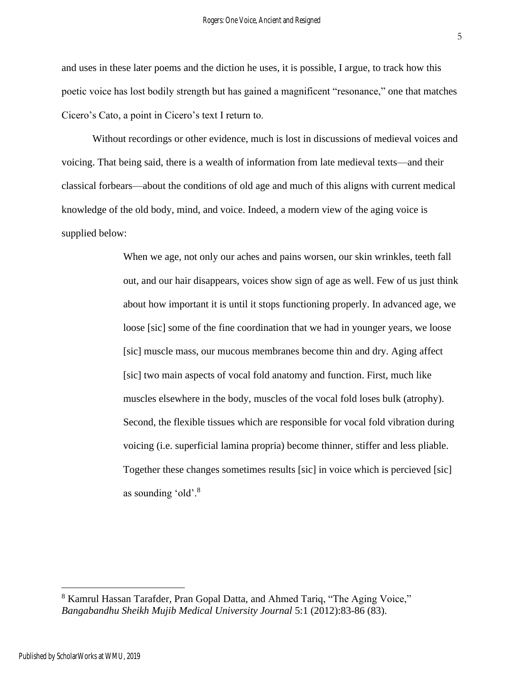and uses in these later poems and the diction he uses, it is possible, I argue, to track how this poetic voice has lost bodily strength but has gained a magnificent "resonance," one that matches Cicero's Cato, a point in Cicero's text I return to.

Without recordings or other evidence, much is lost in discussions of medieval voices and voicing. That being said, there is a wealth of information from late medieval texts—and their classical forbears—about the conditions of old age and much of this aligns with current medical knowledge of the old body, mind, and voice. Indeed, a modern view of the aging voice is supplied below:

> When we age, not only our aches and pains worsen, our skin wrinkles, teeth fall out, and our hair disappears, voices show sign of age as well. Few of us just think about how important it is until it stops functioning properly. In advanced age, we loose [sic] some of the fine coordination that we had in younger years, we loose [sic] muscle mass, our mucous membranes become thin and dry. Aging affect [sic] two main aspects of vocal fold anatomy and function. First, much like muscles elsewhere in the body, muscles of the vocal fold loses bulk (atrophy). Second, the flexible tissues which are responsible for vocal fold vibration during voicing (i.e. superficial lamina propria) become thinner, stiffer and less pliable. Together these changes sometimes results [sic] in voice which is percieved [sic] as sounding 'old'.<sup>8</sup>

<sup>8</sup> Kamrul Hassan Tarafder, Pran Gopal Datta, and Ahmed Tariq, "The Aging Voice," *Bangabandhu Sheikh Mujib Medical University Journal* 5:1 (2012):83-86 (83).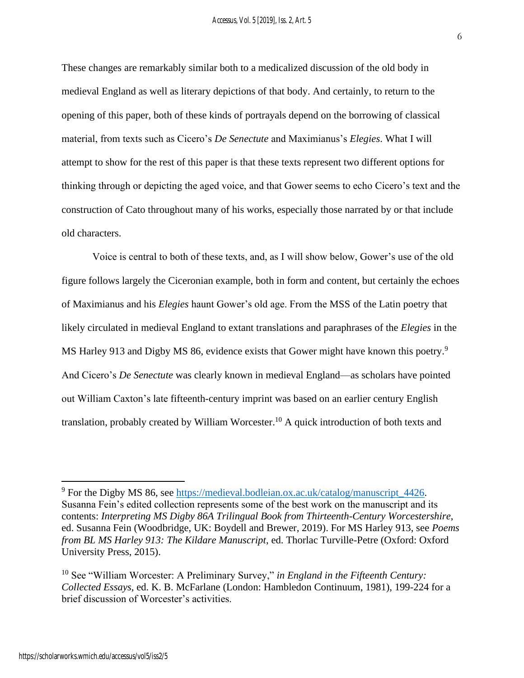These changes are remarkably similar both to a medicalized discussion of the old body in medieval England as well as literary depictions of that body. And certainly, to return to the opening of this paper, both of these kinds of portrayals depend on the borrowing of classical material, from texts such as Cicero's *De Senectute* and Maximianus's *Elegies*. What I will attempt to show for the rest of this paper is that these texts represent two different options for thinking through or depicting the aged voice, and that Gower seems to echo Cicero's text and the construction of Cato throughout many of his works, especially those narrated by or that include old characters.

Voice is central to both of these texts, and, as I will show below, Gower's use of the old figure follows largely the Ciceronian example, both in form and content, but certainly the echoes of Maximianus and his *Elegies* haunt Gower's old age. From the MSS of the Latin poetry that likely circulated in medieval England to extant translations and paraphrases of the *Elegies* in the MS Harley 913 and Digby MS 86, evidence exists that Gower might have known this poetry.<sup>9</sup> And Cicero's *De Senectute* was clearly known in medieval England—as scholars have pointed out William Caxton's late fifteenth-century imprint was based on an earlier century English translation, probably created by William Worcester.<sup>10</sup> A quick introduction of both texts and

<sup>9</sup> For the Digby MS 86, see [https://medieval.bodleian.ox.ac.uk/catalog/manuscript\\_4426.](https://medieval.bodleian.ox.ac.uk/catalog/manuscript_4426) Susanna Fein's edited collection represents some of the best work on the manuscript and its contents: *Interpreting MS Digby 86A Trilingual Book from Thirteenth-Century Worcestershire*, ed. Susanna Fein (Woodbridge, UK: Boydell and Brewer, 2019). For MS Harley 913, see *Poems from BL MS Harley 913: The Kildare Manuscript*, ed. Thorlac Turville-Petre (Oxford: Oxford University Press, 2015).

<sup>10</sup> See "William Worcester: A Preliminary Survey," *in England in the Fifteenth Century: Collected Essays,* ed. K. B. McFarlane (London: Hambledon Continuum, 1981), 199-224 for a brief discussion of Worcester's activities.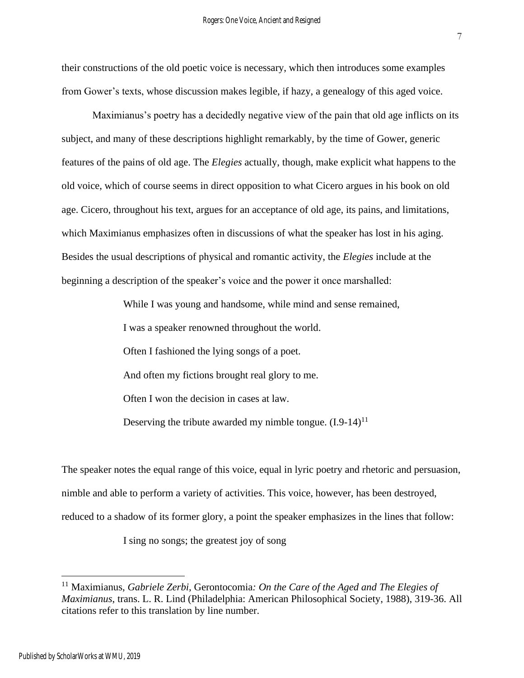their constructions of the old poetic voice is necessary, which then introduces some examples from Gower's texts, whose discussion makes legible, if hazy, a genealogy of this aged voice.

Maximianus's poetry has a decidedly negative view of the pain that old age inflicts on its subject, and many of these descriptions highlight remarkably, by the time of Gower, generic features of the pains of old age. The *Elegies* actually, though, make explicit what happens to the old voice, which of course seems in direct opposition to what Cicero argues in his book on old age. Cicero, throughout his text, argues for an acceptance of old age, its pains, and limitations, which Maximianus emphasizes often in discussions of what the speaker has lost in his aging. Besides the usual descriptions of physical and romantic activity, the *Elegies* include at the beginning a description of the speaker's voice and the power it once marshalled:

While I was young and handsome, while mind and sense remained,

I was a speaker renowned throughout the world.

Often I fashioned the lying songs of a poet.

And often my fictions brought real glory to me.

Often I won the decision in cases at law.

Deserving the tribute awarded my nimble tongue.  $(I.9-14)^{11}$ 

The speaker notes the equal range of this voice, equal in lyric poetry and rhetoric and persuasion, nimble and able to perform a variety of activities. This voice, however, has been destroyed, reduced to a shadow of its former glory, a point the speaker emphasizes in the lines that follow:

I sing no songs; the greatest joy of song

<sup>11</sup> Maximianus, *Gabriele Zerbi,* Gerontocomia*: On the Care of the Aged and The Elegies of Maximianus*, trans. L. R. Lind (Philadelphia: American Philosophical Society, 1988), 319-36. All citations refer to this translation by line number.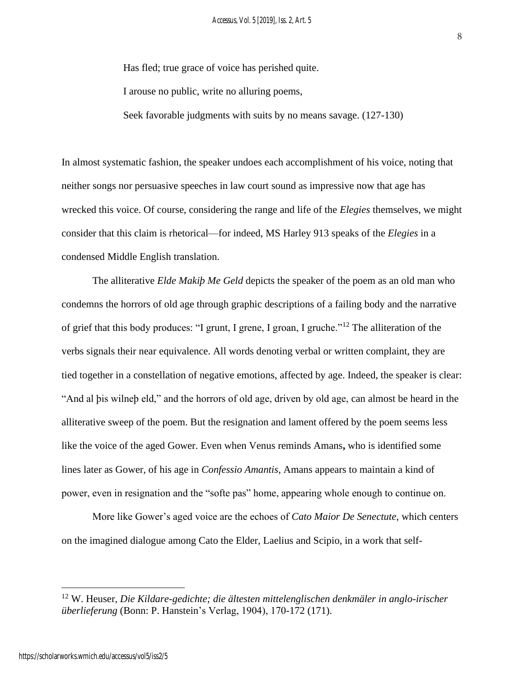Has fled; true grace of voice has perished quite.

I arouse no public, write no alluring poems,

Seek favorable judgments with suits by no means savage. (127-130)

In almost systematic fashion, the speaker undoes each accomplishment of his voice, noting that neither songs nor persuasive speeches in law court sound as impressive now that age has wrecked this voice. Of course, considering the range and life of the *Elegies* themselves, we might consider that this claim is rhetorical—for indeed, MS Harley 913 speaks of the *Elegies* in a condensed Middle English translation.

The alliterative *Elde Makiþ Me Geld* depicts the speaker of the poem as an old man who condemns the horrors of old age through graphic descriptions of a failing body and the narrative of grief that this body produces: "I grunt, I grene, I groan, I gruche."<sup>12</sup> The alliteration of the verbs signals their near equivalence. All words denoting verbal or written complaint, they are tied together in a constellation of negative emotions, affected by age. Indeed, the speaker is clear: "And al þis wilneþ eld," and the horrors of old age, driven by old age, can almost be heard in the alliterative sweep of the poem. But the resignation and lament offered by the poem seems less like the voice of the aged Gower. Even when Venus reminds Amans**,** who is identified some lines later as Gower, of his age in *Confessio Amantis*, Amans appears to maintain a kind of power, even in resignation and the "softe pas" home, appearing whole enough to continue on.

More like Gower's aged voice are the echoes of *Cato Maior De Senectute*, which centers on the imagined dialogue among Cato the Elder, Laelius and Scipio, in a work that self-

<sup>12</sup> W. Heuser, *Die Kildare-gedichte; die ältesten mittelenglischen denkmäler in anglo-irischer überlieferung* (Bonn: P. Hanstein's Verlag, 1904), 170-172 (171).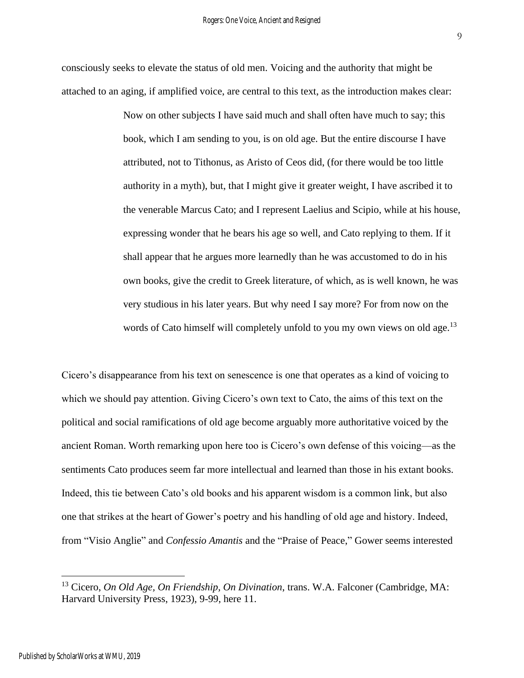consciously seeks to elevate the status of old men. Voicing and the authority that might be attached to an aging, if amplified voice, are central to this text, as the introduction makes clear:

> Now on other subjects I have said much and shall often have much to say; this book, which I am sending to you, is on old age. But the entire discourse I have attributed, not to Tithonus, as Aristo of Ceos did, (for there would be too little authority in a myth), but, that I might give it greater weight, I have ascribed it to the venerable Marcus Cato; and I represent Laelius and Scipio, while at his house, expressing wonder that he bears his age so well, and Cato replying to them. If it shall appear that he argues more learnedly than he was accustomed to do in his own books, give the credit to Greek literature, of which, as is well known, he was very studious in his later years. But why need I say more? For from now on the words of Cato himself will completely unfold to you my own views on old age.<sup>13</sup>

Cicero's disappearance from his text on senescence is one that operates as a kind of voicing to which we should pay attention. Giving Cicero's own text to Cato, the aims of this text on the political and social ramifications of old age become arguably more authoritative voiced by the ancient Roman. Worth remarking upon here too is Cicero's own defense of this voicing—as the sentiments Cato produces seem far more intellectual and learned than those in his extant books. Indeed, this tie between Cato's old books and his apparent wisdom is a common link, but also one that strikes at the heart of Gower's poetry and his handling of old age and history. Indeed, from "Visio Anglie" and *Confessio Amantis* and the "Praise of Peace," Gower seems interested

<sup>13</sup> Cicero, *On Old Age, On Friendship, On Divination*, trans. W.A. Falconer (Cambridge, MA: Harvard University Press, 1923), 9-99, here 11.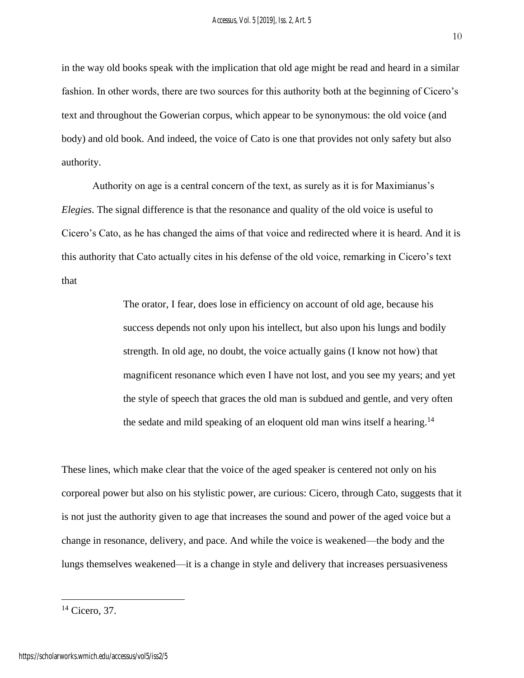in the way old books speak with the implication that old age might be read and heard in a similar fashion. In other words, there are two sources for this authority both at the beginning of Cicero's text and throughout the Gowerian corpus, which appear to be synonymous: the old voice (and body) and old book. And indeed, the voice of Cato is one that provides not only safety but also authority.

Authority on age is a central concern of the text, as surely as it is for Maximianus's *Elegies*. The signal difference is that the resonance and quality of the old voice is useful to Cicero's Cato, as he has changed the aims of that voice and redirected where it is heard. And it is this authority that Cato actually cites in his defense of the old voice, remarking in Cicero's text that

> The orator, I fear, does lose in efficiency on account of old age, because his success depends not only upon his intellect, but also upon his lungs and bodily strength. In old age, no doubt, the voice actually gains (I know not how) that magnificent resonance which even I have not lost, and you see my years; and yet the style of speech that graces the old man is subdued and gentle, and very often the sedate and mild speaking of an eloquent old man wins itself a hearing.<sup>14</sup>

These lines, which make clear that the voice of the aged speaker is centered not only on his corporeal power but also on his stylistic power, are curious: Cicero, through Cato, suggests that it is not just the authority given to age that increases the sound and power of the aged voice but a change in resonance, delivery, and pace. And while the voice is weakened—the body and the lungs themselves weakened—it is a change in style and delivery that increases persuasiveness

 $14$  Cicero, 37.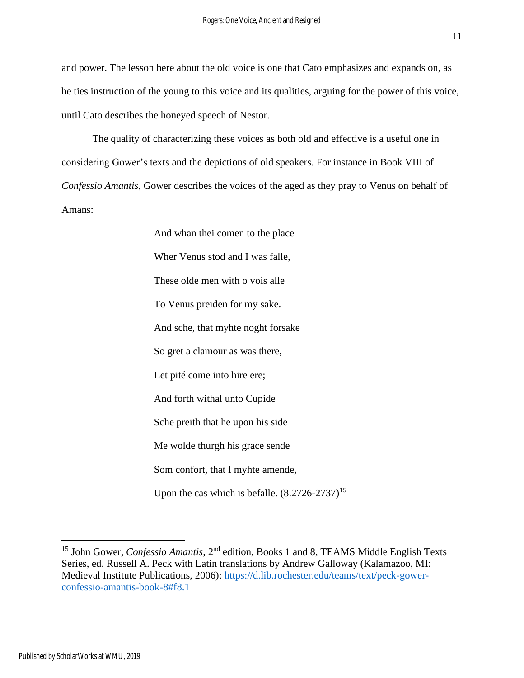and power. The lesson here about the old voice is one that Cato emphasizes and expands on, as he ties instruction of the young to this voice and its qualities, arguing for the power of this voice, until Cato describes the honeyed speech of Nestor.

The quality of characterizing these voices as both old and effective is a useful one in considering Gower's texts and the depictions of old speakers. For instance in Book VIII of *Confessio Amantis*, Gower describes the voices of the aged as they pray to Venus on behalf of Amans:

> And whan thei comen to the place Wher Venus stod and I was falle, These olde men with o vois alle To Venus preiden for my sake. And sche, that myhte noght forsake So gret a clamour as was there, Let pité come into hire ere; And forth withal unto Cupide Sche preith that he upon his side Me wolde thurgh his grace sende Som confort, that I myhte amende, Upon the cas which is befalle.  $(8.2726-2737)^{15}$

<sup>&</sup>lt;sup>15</sup> John Gower, *Confessio Amantis*, 2<sup>nd</sup> edition, Books 1 and 8, TEAMS Middle English Texts Series, ed. Russell A. Peck with Latin translations by Andrew Galloway (Kalamazoo, MI: Medieval Institute Publications, 2006): [https://d.lib.rochester.edu/teams/text/peck-gower](https://d.lib.rochester.edu/teams/text/peck-gower-confessio-amantis-book-8#f8.1)[confessio-amantis-book-8#f8.1](https://d.lib.rochester.edu/teams/text/peck-gower-confessio-amantis-book-8#f8.1)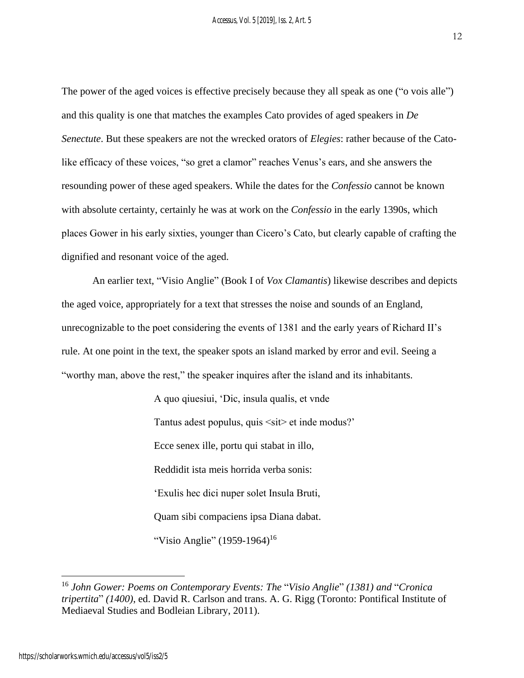The power of the aged voices is effective precisely because they all speak as one ("o vois alle") and this quality is one that matches the examples Cato provides of aged speakers in *De Senectute*. But these speakers are not the wrecked orators of *Elegies*: rather because of the Catolike efficacy of these voices, "so gret a clamor" reaches Venus's ears, and she answers the resounding power of these aged speakers. While the dates for the *Confessio* cannot be known with absolute certainty, certainly he was at work on the *Confessio* in the early 1390s, which places Gower in his early sixties, younger than Cicero's Cato, but clearly capable of crafting the dignified and resonant voice of the aged.

An earlier text, "Visio Anglie" (Book I of *Vox Clamantis*) likewise describes and depicts the aged voice, appropriately for a text that stresses the noise and sounds of an England, unrecognizable to the poet considering the events of 1381 and the early years of Richard II's rule. At one point in the text, the speaker spots an island marked by error and evil. Seeing a "worthy man, above the rest," the speaker inquires after the island and its inhabitants.

> A quo qiuesiui, 'Dic, insula qualis, et vnde Tantus adest populus, quis <sit> et inde modus?' Ecce senex ille, portu qui stabat in illo, Reddidit ista meis horrida verba sonis: 'Exulis hec dici nuper solet Insula Bruti, Quam sibi compaciens ipsa Diana dabat. "Visio Anglie" (1959-1964)<sup>16</sup>

<sup>16</sup> *John Gower: Poems on Contemporary Events: The* "*Visio Anglie*" *(1381) and* "*Cronica tripertita*" *(1400)*, ed. David R. Carlson and trans. A. G. Rigg (Toronto: Pontifical Institute of Mediaeval Studies and Bodleian Library, 2011).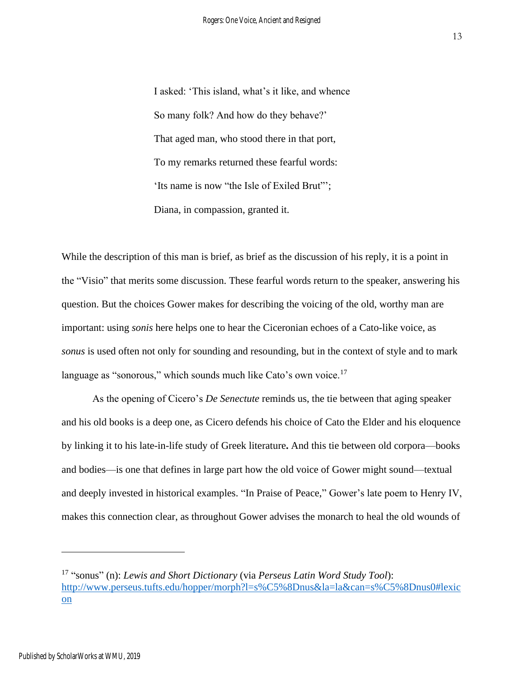I asked: 'This island, what's it like, and whence So many folk? And how do they behave?' That aged man, who stood there in that port, To my remarks returned these fearful words: 'Its name is now "the Isle of Exiled Brut"'; Diana, in compassion, granted it.

While the description of this man is brief, as brief as the discussion of his reply, it is a point in the "Visio" that merits some discussion. These fearful words return to the speaker, answering his question. But the choices Gower makes for describing the voicing of the old, worthy man are important: using *sonis* here helps one to hear the Ciceronian echoes of a Cato-like voice, as *sonus* is used often not only for sounding and resounding, but in the context of style and to mark language as "sonorous," which sounds much like Cato's own voice.<sup>17</sup>

As the opening of Cicero's *De Senectute* reminds us, the tie between that aging speaker and his old books is a deep one, as Cicero defends his choice of Cato the Elder and his eloquence by linking it to his late-in-life study of Greek literature**.** And this tie between old corpora—books and bodies—is one that defines in large part how the old voice of Gower might sound—textual and deeply invested in historical examples. "In Praise of Peace," Gower's late poem to Henry IV, makes this connection clear, as throughout Gower advises the monarch to heal the old wounds of

<sup>17</sup> "sonus" (n): *Lewis and Short Dictionary* (via *Perseus Latin Word Study Tool*): [http://www.perseus.tufts.edu/hopper/morph?l=s%C5%8Dnus&la=la&can=s%C5%8Dnus0#lexic](http://www.perseus.tufts.edu/hopper/morph?l=s%C5%8Dnus&la=la&can=s%C5%8Dnus0#lexicon) [on](http://www.perseus.tufts.edu/hopper/morph?l=s%C5%8Dnus&la=la&can=s%C5%8Dnus0#lexicon)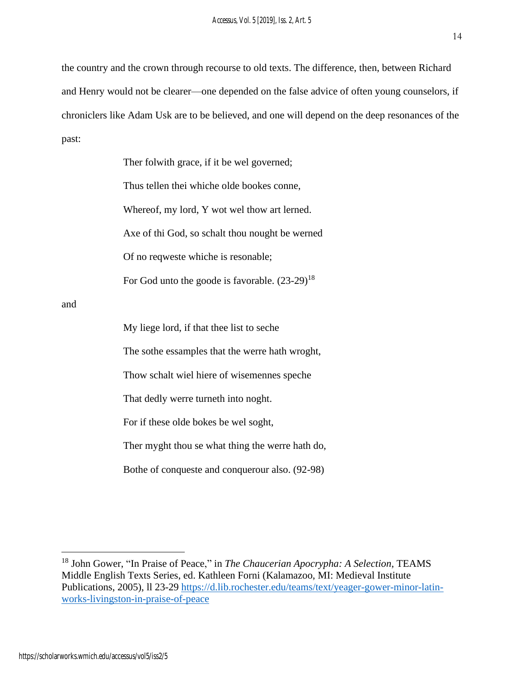the country and the crown through recourse to old texts. The difference, then, between Richard and Henry would not be clearer—one depended on the false advice of often young counselors, if chroniclers like Adam Usk are to be believed, and one will depend on the deep resonances of the past:

> Ther folwith grace, if it be wel governed; Thus tellen thei whiche olde bookes conne, Whereof, my lord, Y wot wel thow art lerned. Axe of thi God, so schalt thou nought be werned Of no reqweste whiche is resonable; For God unto the goode is favorable.  $(23-29)^{18}$

and

My liege lord, if that thee list to seche The sothe essamples that the werre hath wroght, Thow schalt wiel hiere of wisemennes speche That dedly werre turneth into noght. For if these olde bokes be wel soght, Ther myght thou se what thing the werre hath do,

Bothe of conqueste and conquerour also. (92-98)

<sup>18</sup> John Gower, "In Praise of Peace," in *The Chaucerian Apocrypha: A Selection*, TEAMS Middle English Texts Series, ed. Kathleen Forni (Kalamazoo, MI: Medieval Institute Publications, 2005), ll 23-29 [https://d.lib.rochester.edu/teams/text/yeager-gower-minor-latin](https://d.lib.rochester.edu/teams/text/yeager-gower-minor-latin-works-livingston-in-praise-of-peace)[works-livingston-in-praise-of-peace](https://d.lib.rochester.edu/teams/text/yeager-gower-minor-latin-works-livingston-in-praise-of-peace)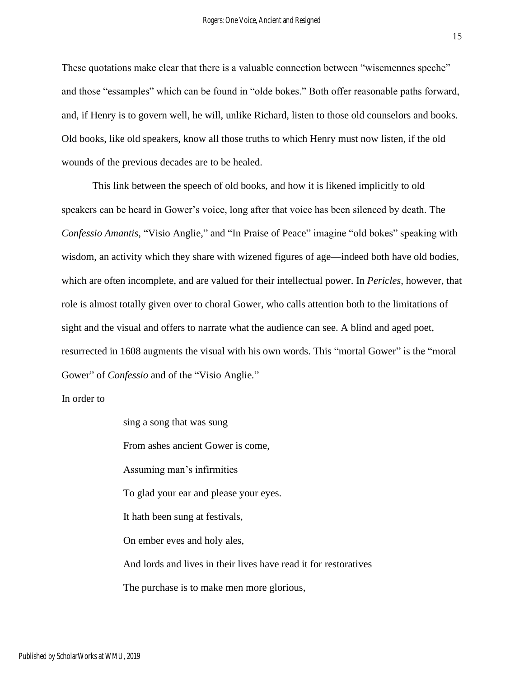These quotations make clear that there is a valuable connection between "wisemennes speche" and those "essamples" which can be found in "olde bokes." Both offer reasonable paths forward, and, if Henry is to govern well, he will, unlike Richard, listen to those old counselors and books. Old books, like old speakers, know all those truths to which Henry must now listen, if the old wounds of the previous decades are to be healed.

This link between the speech of old books, and how it is likened implicitly to old speakers can be heard in Gower's voice, long after that voice has been silenced by death. The *Confessio Amantis*, "Visio Anglie," and "In Praise of Peace" imagine "old bokes" speaking with wisdom, an activity which they share with wizened figures of age—indeed both have old bodies, which are often incomplete, and are valued for their intellectual power. In *Pericles*, however, that role is almost totally given over to choral Gower, who calls attention both to the limitations of sight and the visual and offers to narrate what the audience can see. A blind and aged poet, resurrected in 1608 augments the visual with his own words. This "mortal Gower" is the "moral Gower" of *Confessio* and of the "Visio Anglie*.*"

In order to

sing a song that was sung From ashes ancient Gower is come, Assuming man's infirmities To glad your ear and please your eyes. It hath been sung at festivals, On ember eves and holy ales, And lords and lives in their lives have read it for restoratives The purchase is to make men more glorious,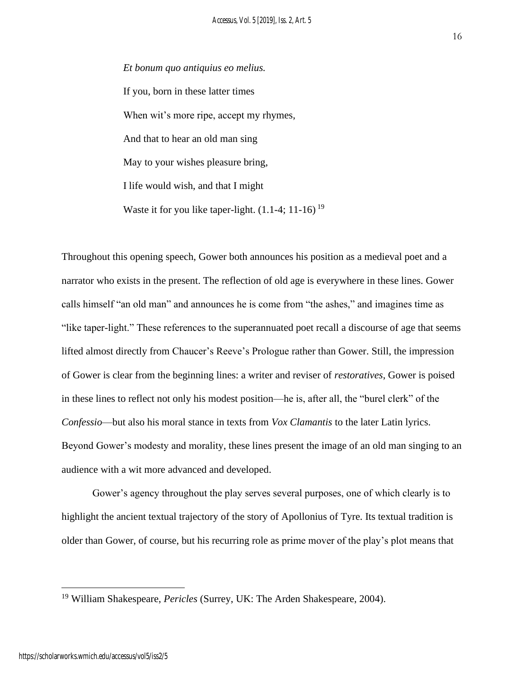*Et bonum quo antiquius eo melius.* If you, born in these latter times When wit's more ripe, accept my rhymes, And that to hear an old man sing May to your wishes pleasure bring, I life would wish, and that I might Waste it for you like taper-light.  $(1.1-4; 11-16)^{19}$ 

Throughout this opening speech, Gower both announces his position as a medieval poet and a narrator who exists in the present. The reflection of old age is everywhere in these lines. Gower calls himself "an old man" and announces he is come from "the ashes," and imagines time as "like taper-light." These references to the superannuated poet recall a discourse of age that seems lifted almost directly from Chaucer's Reeve's Prologue rather than Gower. Still, the impression of Gower is clear from the beginning lines: a writer and reviser of *restoratives*, Gower is poised in these lines to reflect not only his modest position—he is, after all, the "burel clerk" of the *Confessio*—but also his moral stance in texts from *Vox Clamantis* to the later Latin lyrics. Beyond Gower's modesty and morality, these lines present the image of an old man singing to an audience with a wit more advanced and developed.

Gower's agency throughout the play serves several purposes, one of which clearly is to highlight the ancient textual trajectory of the story of Apollonius of Tyre. Its textual tradition is older than Gower, of course, but his recurring role as prime mover of the play's plot means that

<sup>19</sup> William Shakespeare, *Pericles* (Surrey, UK: The Arden Shakespeare, 2004).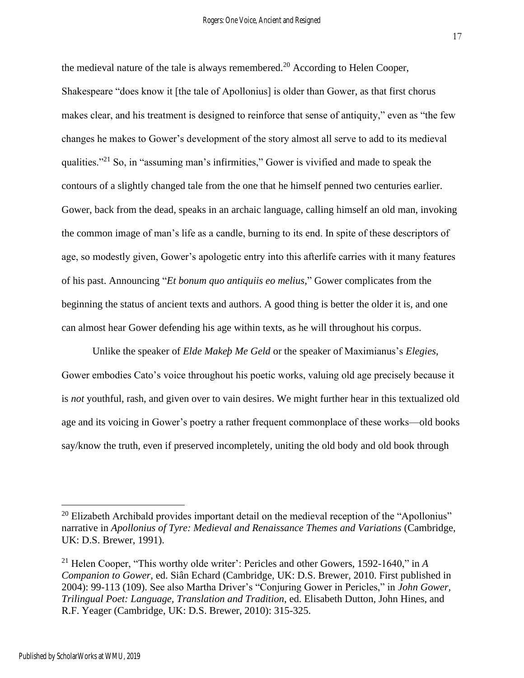17

the medieval nature of the tale is always remembered.<sup>20</sup> According to Helen Cooper, Shakespeare "does know it [the tale of Apollonius] is older than Gower, as that first chorus makes clear, and his treatment is designed to reinforce that sense of antiquity," even as "the few changes he makes to Gower's development of the story almost all serve to add to its medieval qualities."<sup>21</sup> So, in "assuming man's infirmities," Gower is vivified and made to speak the contours of a slightly changed tale from the one that he himself penned two centuries earlier. Gower, back from the dead, speaks in an archaic language, calling himself an old man, invoking the common image of man's life as a candle, burning to its end. In spite of these descriptors of age, so modestly given, Gower's apologetic entry into this afterlife carries with it many features of his past. Announcing "*Et bonum quo antiquiis eo melius*," Gower complicates from the beginning the status of ancient texts and authors. A good thing is better the older it is, and one can almost hear Gower defending his age within texts, as he will throughout his corpus.

Unlike the speaker of *Elde Makeþ Me Geld* or the speaker of Maximianus's *Elegies*, Gower embodies Cato's voice throughout his poetic works, valuing old age precisely because it is *not* youthful, rash, and given over to vain desires. We might further hear in this textualized old age and its voicing in Gower's poetry a rather frequent commonplace of these works—old books say/know the truth, even if preserved incompletely, uniting the old body and old book through

 $20$  Elizabeth Archibald provides important detail on the medieval reception of the "Apollonius" narrative in *Apollonius of Tyre: Medieval and Renaissance Themes and Variations* (Cambridge, UK: D.S. Brewer, 1991).

<sup>21</sup> Helen Cooper, "This worthy olde writer': Pericles and other Gowers, 1592-1640," in *A Companion to Gower*, ed. Siân Echard (Cambridge, UK: D.S. Brewer, 2010. First published in 2004): 99-113 (109). See also Martha Driver's "Conjuring Gower in Pericles," in *John Gower, Trilingual Poet: Language, Translation and Tradition*, ed. Elisabeth Dutton, John Hines, and R.F. Yeager (Cambridge, UK: D.S. Brewer, 2010): 315-325.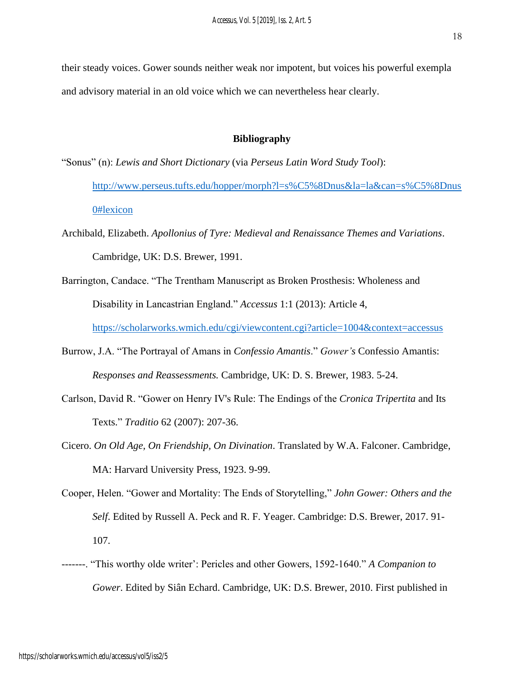their steady voices. Gower sounds neither weak nor impotent, but voices his powerful exempla and advisory material in an old voice which we can nevertheless hear clearly.

#### **Bibliography**

- "Sonus" (n): *Lewis and Short Dictionary* (via *Perseus Latin Word Study Tool*):
	- [http://www.perseus.tufts.edu/hopper/morph?l=s%C5%8Dnus&la=la&can=s%C5%8Dnus](http://www.perseus.tufts.edu/hopper/morph?l=s%C5%8Dnus&la=la&can=s%C5%8Dnus0#lexicon) [0#lexicon](http://www.perseus.tufts.edu/hopper/morph?l=s%C5%8Dnus&la=la&can=s%C5%8Dnus0#lexicon)
- Archibald, Elizabeth. *Apollonius of Tyre: Medieval and Renaissance Themes and Variations*. Cambridge, UK: D.S. Brewer, 1991.
- Barrington, Candace. "The Trentham Manuscript as Broken Prosthesis: Wholeness and Disability in Lancastrian England." *Accessus* 1:1 (2013): Article 4,

<https://scholarworks.wmich.edu/cgi/viewcontent.cgi?article=1004&context=accessus>

- Burrow, J.A. "The Portrayal of Amans in *Confessio Amantis*." *Gower's* Confessio Amantis: *Responses and Reassessments.* Cambridge, UK: D. S. Brewer, 1983. 5-24.
- Carlson, David R. "Gower on Henry IV's Rule: The Endings of the *Cronica Tripertita* and Its Texts." *Traditio* 62 (2007): 207-36.
- Cicero. *On Old Age, On Friendship, On Divination*. Translated by W.A. Falconer. Cambridge, MA: Harvard University Press, 1923. 9-99.
- Cooper, Helen. "Gower and Mortality: The Ends of Storytelling," *John Gower: Others and the Self*. Edited by Russell A. Peck and R. F. Yeager. Cambridge: D.S. Brewer, 2017. 91- 107.
- -------. "This worthy olde writer': Pericles and other Gowers, 1592-1640." *A Companion to Gower*. Edited by Siân Echard. Cambridge, UK: D.S. Brewer, 2010. First published in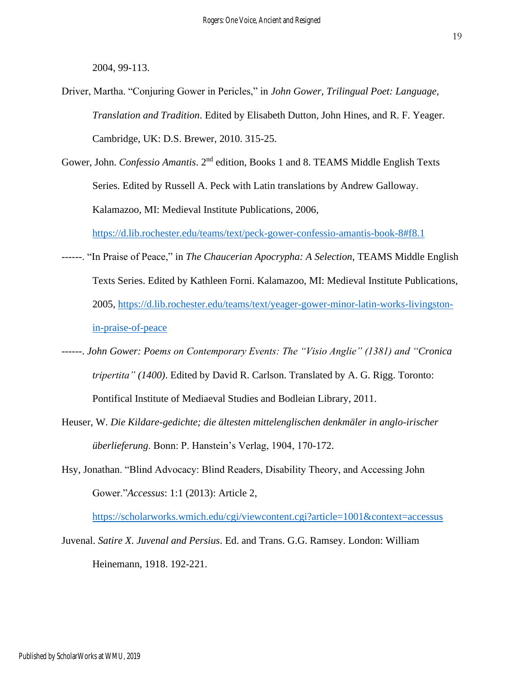2004, 99-113.

- Driver, Martha. "Conjuring Gower in Pericles," in *John Gower, Trilingual Poet: Language, Translation and Tradition*. Edited by Elisabeth Dutton, John Hines, and R. F. Yeager. Cambridge, UK: D.S. Brewer, 2010. 315-25.
- Gower, John. *Confessio Amantis*. 2<sup>nd</sup> edition, Books 1 and 8. TEAMS Middle English Texts Series. Edited by Russell A. Peck with Latin translations by Andrew Galloway. Kalamazoo, MI: Medieval Institute Publications, 2006,

<https://d.lib.rochester.edu/teams/text/peck-gower-confessio-amantis-book-8#f8.1>

- ------. "In Praise of Peace," in *The Chaucerian Apocrypha: A Selection*, TEAMS Middle English Texts Series. Edited by Kathleen Forni. Kalamazoo, MI: Medieval Institute Publications, 2005, [https://d.lib.rochester.edu/teams/text/yeager-gower-minor-latin-works-livingston](https://d.lib.rochester.edu/teams/text/yeager-gower-minor-latin-works-livingston-in-praise-of-peace)[in-praise-of-peace](https://d.lib.rochester.edu/teams/text/yeager-gower-minor-latin-works-livingston-in-praise-of-peace)
- ------. *John Gower: Poems on Contemporary Events: The "Visio Anglie" (1381) and "Cronica tripertita" (1400)*. Edited by David R. Carlson. Translated by A. G. Rigg. Toronto: Pontifical Institute of Mediaeval Studies and Bodleian Library, 2011.
- Heuser, W. *Die Kildare-gedichte; die ältesten mittelenglischen denkmäler in anglo-irischer überlieferung*. Bonn: P. Hanstein's Verlag, 1904, 170-172.
- Hsy, Jonathan. "Blind Advocacy: Blind Readers, Disability Theory, and Accessing John Gower."*Accessus*: 1:1 (2013): Article 2,

<https://scholarworks.wmich.edu/cgi/viewcontent.cgi?article=1001&context=accessus>

Juvenal. *Satire X*. *Juvenal and Persius*. Ed. and Trans. G.G. Ramsey. London: William Heinemann, 1918. 192-221.